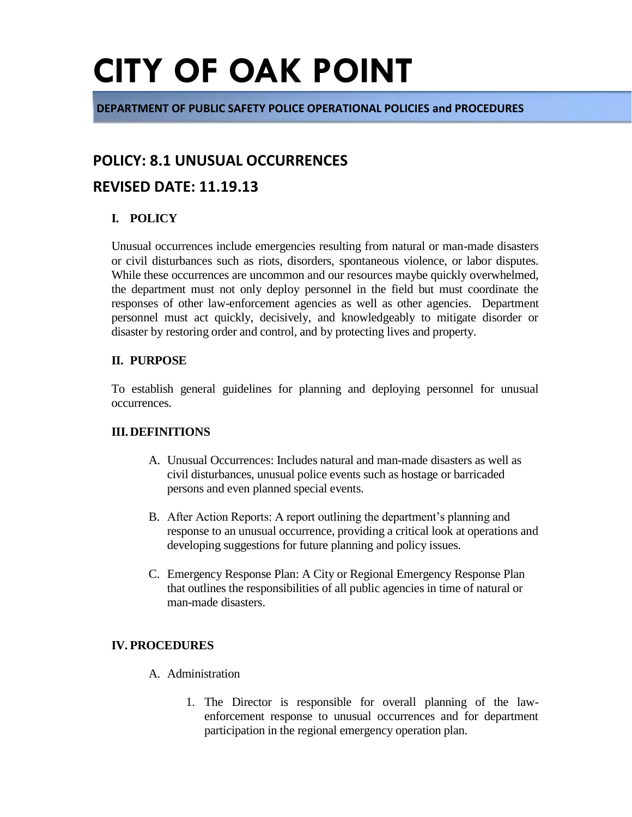**DEPARTMENT OF PUBLIC SAFETY POLICE OPERATIONAL POLICIES and PROCEDURES**

### **POLICY: 8.1 UNUSUAL OCCURRENCES**

### **REVISED DATE: 11.19.13**

### **I. POLICY**

Unusual occurrences include emergencies resulting from natural or man-made disasters or civil disturbances such as riots, disorders, spontaneous violence, or labor disputes. While these occurrences are uncommon and our resources maybe quickly overwhelmed, the department must not only deploy personnel in the field but must coordinate the responses of other law-enforcement agencies as well as other agencies. Department personnel must act quickly, decisively, and knowledgeably to mitigate disorder or disaster by restoring order and control, and by protecting lives and property.

### **II. PURPOSE**

To establish general guidelines for planning and deploying personnel for unusual occurrences.

### **III.DEFINITIONS**

- A. Unusual Occurrences: Includes natural and man-made disasters as well as civil disturbances, unusual police events such as hostage or barricaded persons and even planned special events.
- B. After Action Reports: A report outlining the department's planning and response to an unusual occurrence, providing a critical look at operations and developing suggestions for future planning and policy issues.
- C. Emergency Response Plan: A City or Regional Emergency Response Plan that outlines the responsibilities of all public agencies in time of natural or man-made disasters.

### **IV. PROCEDURES**

- A. Administration
	- 1. The Director is responsible for overall planning of the lawenforcement response to unusual occurrences and for department participation in the regional emergency operation plan.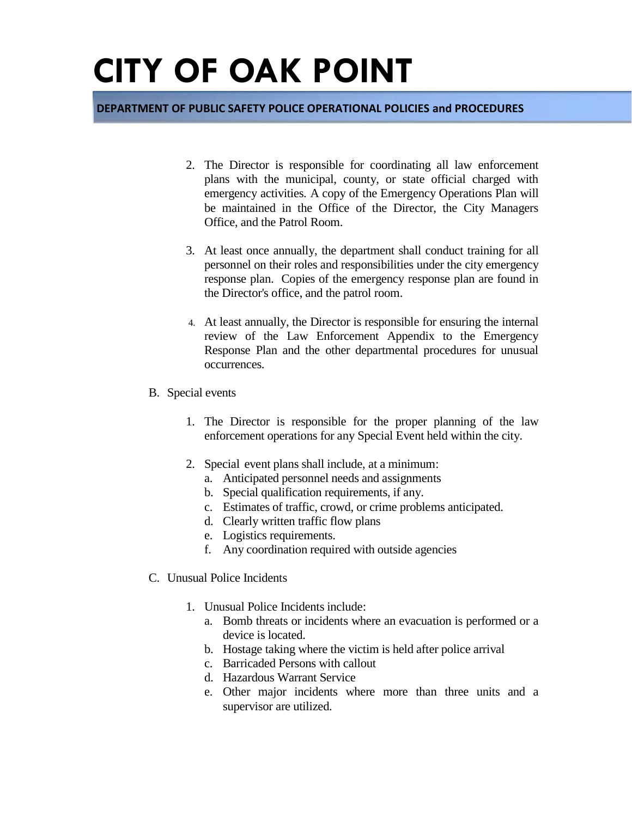#### **DEPARTMENT OF PUBLIC SAFETY POLICE OPERATIONAL POLICIES and PROCEDURES**

- 2. The Director is responsible for coordinating all law enforcement plans with the municipal, county, or state official charged with emergency activities. A copy of the Emergency Operations Plan will be maintained in the Office of the Director, the City Managers Office, and the Patrol Room.
- 3. At least once annually, the department shall conduct training for all personnel on their roles and responsibilities under the city emergency response plan. Copies of the emergency response plan are found in the Director's office, and the patrol room.
- 4. At least annually, the Director is responsible for ensuring the internal review of the Law Enforcement Appendix to the Emergency Response Plan and the other departmental procedures for unusual occurrences.
- B. Special events
	- 1. The Director is responsible for the proper planning of the law enforcement operations for any Special Event held within the city.
	- 2. Special event plans shall include, at a minimum:
		- a. Anticipated personnel needs and assignments
		- b. Special qualification requirements, if any.
		- c. Estimates of traffic, crowd, or crime problems anticipated.
		- d. Clearly written traffic flow plans
		- e. Logistics requirements.
		- f. Any coordination required with outside agencies
- C. Unusual Police Incidents
	- 1. Unusual Police Incidents include:
		- a. Bomb threats or incidents where an evacuation is performed or a device is located.
		- b. Hostage taking where the victim is held after police arrival
		- c. Barricaded Persons with callout
		- d. Hazardous Warrant Service
		- e. Other major incidents where more than three units and a supervisor are utilized.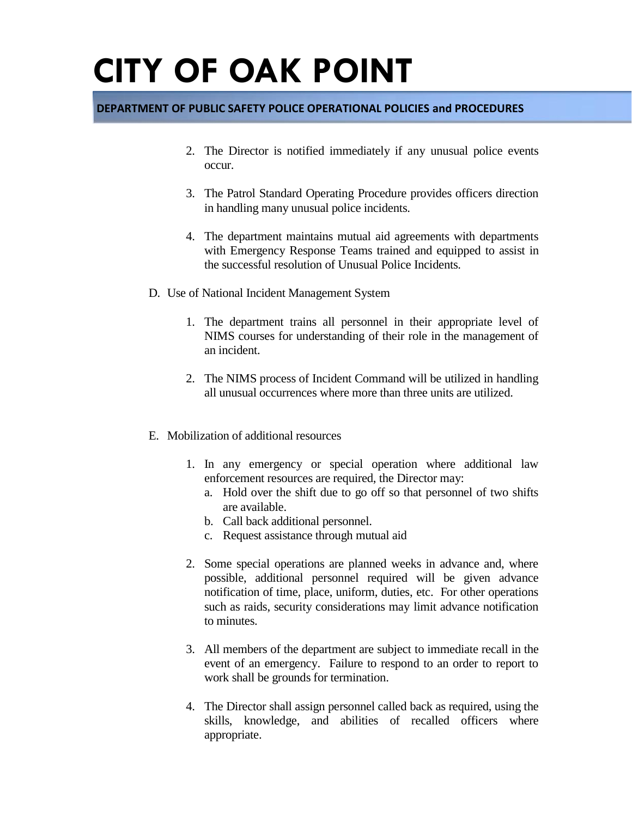### **DEPARTMENT OF PUBLIC SAFETY POLICE OPERATIONAL POLICIES and PROCEDURES**

- 2. The Director is notified immediately if any unusual police events occur.
- 3. The Patrol Standard Operating Procedure provides officers direction in handling many unusual police incidents.
- 4. The department maintains mutual aid agreements with departments with Emergency Response Teams trained and equipped to assist in the successful resolution of Unusual Police Incidents.
- D. Use of National Incident Management System
	- 1. The department trains all personnel in their appropriate level of NIMS courses for understanding of their role in the management of an incident.
	- 2. The NIMS process of Incident Command will be utilized in handling all unusual occurrences where more than three units are utilized.
- E. Mobilization of additional resources
	- 1. In any emergency or special operation where additional law enforcement resources are required, the Director may:
		- a. Hold over the shift due to go off so that personnel of two shifts are available.
		- b. Call back additional personnel.
		- c. Request assistance through mutual aid
	- 2. Some special operations are planned weeks in advance and, where possible, additional personnel required will be given advance notification of time, place, uniform, duties, etc. For other operations such as raids, security considerations may limit advance notification to minutes.
	- 3. All members of the department are subject to immediate recall in the event of an emergency. Failure to respond to an order to report to work shall be grounds for termination.
	- 4. The Director shall assign personnel called back as required, using the skills, knowledge, and abilities of recalled officers where appropriate.